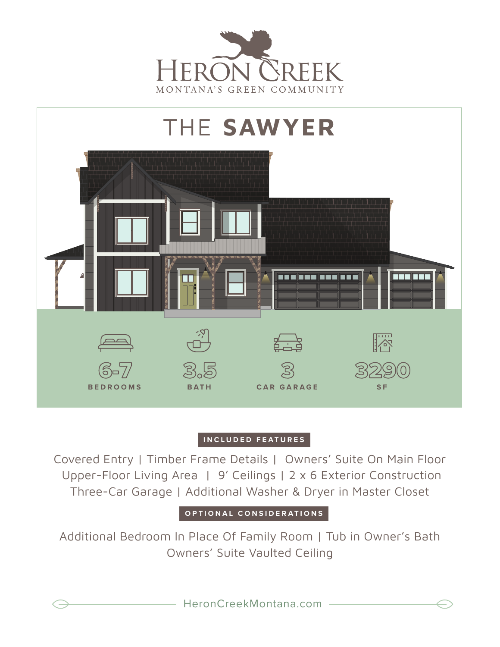



## **INCLUDED FEATURES**

Covered Entry | Timber Frame Details | Owners' Suite On Main Floor Upper-Floor Living Area | 9' Ceilings | 2 x 6 Exterior Construction Three-Car Garage | Additional Washer & Dryer in Master Closet

**OPTIONAL CONSIDERATIONS**

Additional Bedroom In Place Of Family Room | Tub in Owner's Bath Owners' Suite Vaulted Ceiling